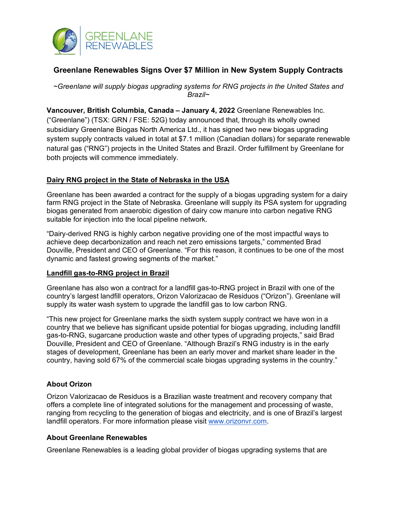

# **Greenlane Renewables Signs Over \$7 Million in New System Supply Contracts**

*~Greenlane will supply biogas upgrading systems for RNG projects in the United States and Brazil~*

**Vancouver, British Columbia, Canada – January 4, 2022** Greenlane Renewables Inc. ("Greenlane") (TSX: GRN / FSE: 52G) today announced that, through its wholly owned subsidiary Greenlane Biogas North America Ltd., it has signed two new biogas upgrading system supply contracts valued in total at \$7.1 million (Canadian dollars) for separate renewable natural gas ("RNG") projects in the United States and Brazil. Order fulfillment by Greenlane for both projects will commence immediately.

## **Dairy RNG project in the State of Nebraska in the USA**

Greenlane has been awarded a contract for the supply of a biogas upgrading system for a dairy farm RNG project in the State of Nebraska. Greenlane will supply its PSA system for upgrading biogas generated from anaerobic digestion of dairy cow manure into carbon negative RNG suitable for injection into the local pipeline network.

"Dairy-derived RNG is highly carbon negative providing one of the most impactful ways to achieve deep decarbonization and reach net zero emissions targets," commented Brad Douville, President and CEO of Greenlane. "For this reason, it continues to be one of the most dynamic and fastest growing segments of the market."

### **Landfill gas-to-RNG project in Brazil**

Greenlane has also won a contract for a landfill gas-to-RNG project in Brazil with one of the country's largest landfill operators, Orizon Valorizacao de Residuos ("Orizon"). Greenlane will supply its water wash system to upgrade the landfill gas to low carbon RNG.

"This new project for Greenlane marks the sixth system supply contract we have won in a country that we believe has significant upside potential for biogas upgrading, including landfill gas-to-RNG, sugarcane production waste and other types of upgrading projects," said Brad Douville, President and CEO of Greenlane. "Although Brazil's RNG industry is in the early stages of development, Greenlane has been an early mover and market share leader in the country, having sold 67% of the commercial scale biogas upgrading systems in the country."

### **About Orizon**

Orizon Valorizacao de Residuos is a Brazilian waste treatment and recovery company that offers a complete line of integrated solutions for the management and processing of waste, ranging from recycling to the generation of biogas and electricity, and is one of Brazil's largest landfill operators. For more information please visit [www.orizonvr.com.](https://www.orizonvr.com.br/)

### **About Greenlane Renewables**

Greenlane Renewables is a leading global provider of biogas upgrading systems that are